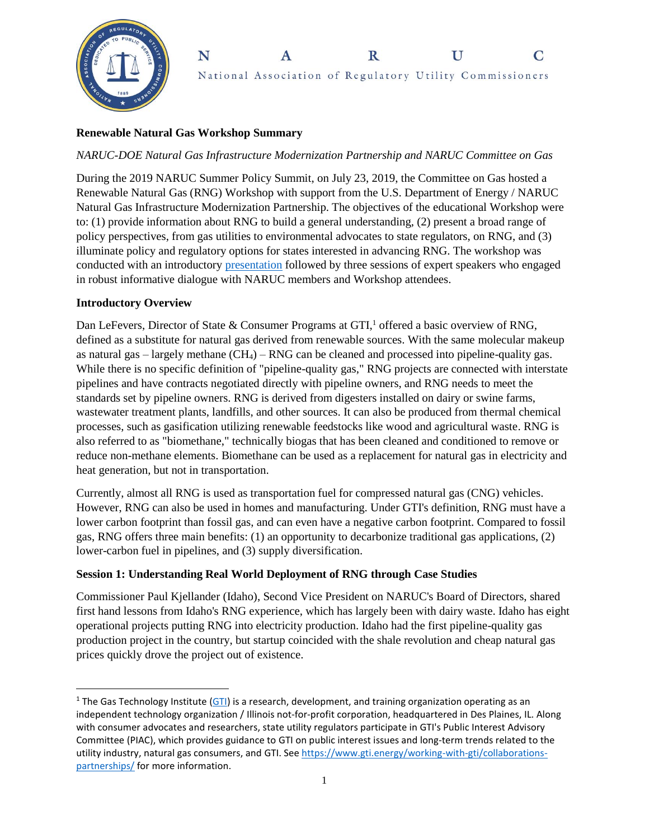

#### N  $\mathbf R$  $\mathbf{U}$  $\mathbf C$ A National Association of Regulatory Utility Commissioners

# **Renewable Natural Gas Workshop Summary**

### *NARUC-DOE Natural Gas Infrastructure Modernization Partnership and NARUC Committee on Gas*

During the 2019 NARUC Summer Policy Summit, on July 23, 2019, the Committee on Gas hosted a Renewable Natural Gas (RNG) Workshop with support from the U.S. Department of Energy / NARUC Natural Gas Infrastructure Modernization Partnership. The objectives of the educational Workshop were to: (1) provide information about RNG to build a general understanding, (2) present a broad range of policy perspectives, from gas utilities to environmental advocates to state regulators, on RNG, and (3) illuminate policy and regulatory options for states interested in advancing RNG. The workshop was conducted with an introductory [presentation](https://pubs.naruc.org/pub/73453B6B-A25A-6AC4-BDFC-C709B202C819) followed by three sessions of expert speakers who engaged in robust informative dialogue with NARUC members and Workshop attendees.

#### **Introductory Overview**

 $\overline{a}$ 

Dan LeFevers, Director of State & Consumer Programs at GTI,<sup>1</sup> offered a basic overview of RNG, defined as a substitute for natural gas derived from renewable sources. With the same molecular makeup as natural gas – largely methane  $(CH_4)$  – RNG can be cleaned and processed into pipeline-quality gas. While there is no specific definition of "pipeline-quality gas," RNG projects are connected with interstate pipelines and have contracts negotiated directly with pipeline owners, and RNG needs to meet the standards set by pipeline owners. RNG is derived from digesters installed on dairy or swine farms, wastewater treatment plants, landfills, and other sources. It can also be produced from thermal chemical processes, such as gasification utilizing renewable feedstocks like wood and agricultural waste. RNG is also referred to as "biomethane," technically biogas that has been cleaned and conditioned to remove or reduce non-methane elements. Biomethane can be used as a replacement for natural gas in electricity and heat generation, but not in transportation.

Currently, almost all RNG is used as transportation fuel for compressed natural gas (CNG) vehicles. However, RNG can also be used in homes and manufacturing. Under GTI's definition, RNG must have a lower carbon footprint than fossil gas, and can even have a negative carbon footprint. Compared to fossil gas, RNG offers three main benefits: (1) an opportunity to decarbonize traditional gas applications, (2) lower-carbon fuel in pipelines, and (3) supply diversification.

### **Session 1: Understanding Real World Deployment of RNG through Case Studies**

Commissioner Paul Kjellander (Idaho), Second Vice President on NARUC's Board of Directors, shared first hand lessons from Idaho's RNG experience, which has largely been with dairy waste. Idaho has eight operational projects putting RNG into electricity production. Idaho had the first pipeline-quality gas production project in the country, but startup coincided with the shale revolution and cheap natural gas prices quickly drove the project out of existence.

<sup>&</sup>lt;sup>1</sup> The Gas Technology Institute [\(GTI\)](https://www.gti.energy/about/) is a research, development, and training organization operating as an independent technology organization / Illinois not-for-profit corporation, headquartered in Des Plaines, IL. Along with consumer advocates and researchers, state utility regulators participate in GTI's Public Interest Advisory Committee (PIAC), which provides guidance to GTI on public interest issues and long-term trends related to the utility industry, natural gas consumers, and GTI. Se[e https://www.gti.energy/working-with-gti/collaborations](https://www.gti.energy/working-with-gti/collaborations-partnerships/)[partnerships/](https://www.gti.energy/working-with-gti/collaborations-partnerships/) for more information.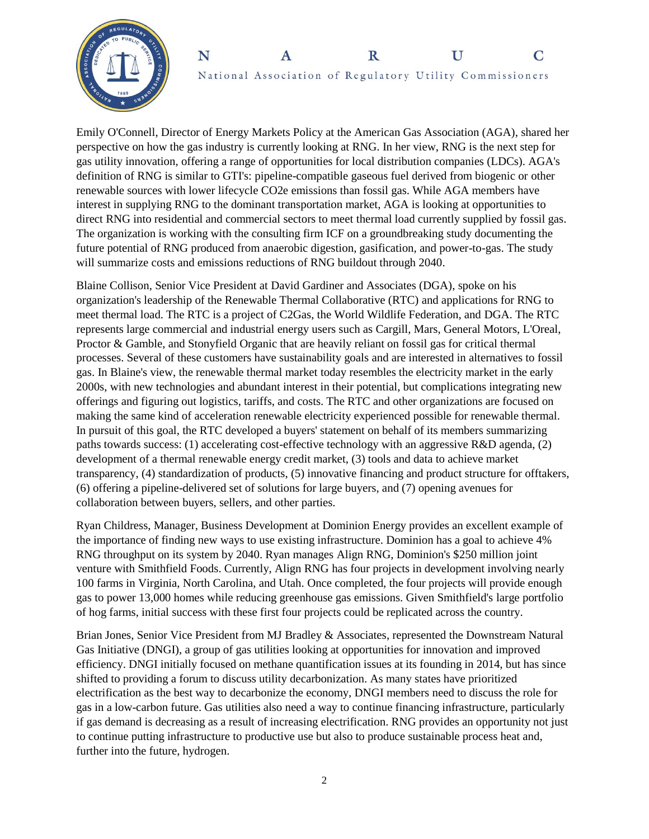



Emily O'Connell, Director of Energy Markets Policy at the American Gas Association (AGA), shared her perspective on how the gas industry is currently looking at RNG. In her view, RNG is the next step for gas utility innovation, offering a range of opportunities for local distribution companies (LDCs). AGA's definition of RNG is similar to GTI's: pipeline-compatible gaseous fuel derived from biogenic or other renewable sources with lower lifecycle CO2e emissions than fossil gas. While AGA members have interest in supplying RNG to the dominant transportation market, AGA is looking at opportunities to direct RNG into residential and commercial sectors to meet thermal load currently supplied by fossil gas. The organization is working with the consulting firm ICF on a groundbreaking study documenting the future potential of RNG produced from anaerobic digestion, gasification, and power-to-gas. The study will summarize costs and emissions reductions of RNG buildout through 2040.

Blaine Collison, Senior Vice President at David Gardiner and Associates (DGA), spoke on his organization's leadership of the Renewable Thermal Collaborative (RTC) and applications for RNG to meet thermal load. The RTC is a project of C2Gas, the World Wildlife Federation, and DGA. The RTC represents large commercial and industrial energy users such as Cargill, Mars, General Motors, L'Oreal, Proctor & Gamble, and Stonyfield Organic that are heavily reliant on fossil gas for critical thermal processes. Several of these customers have sustainability goals and are interested in alternatives to fossil gas. In Blaine's view, the renewable thermal market today resembles the electricity market in the early 2000s, with new technologies and abundant interest in their potential, but complications integrating new offerings and figuring out logistics, tariffs, and costs. The RTC and other organizations are focused on making the same kind of acceleration renewable electricity experienced possible for renewable thermal. In pursuit of this goal, the RTC developed a buyers' statement on behalf of its members summarizing paths towards success: (1) accelerating cost-effective technology with an aggressive R&D agenda, (2) development of a thermal renewable energy credit market, (3) tools and data to achieve market transparency, (4) standardization of products, (5) innovative financing and product structure for offtakers, (6) offering a pipeline-delivered set of solutions for large buyers, and (7) opening avenues for collaboration between buyers, sellers, and other parties.

Ryan Childress, Manager, Business Development at Dominion Energy provides an excellent example of the importance of finding new ways to use existing infrastructure. Dominion has a goal to achieve 4% RNG throughput on its system by 2040. Ryan manages Align RNG, Dominion's \$250 million joint venture with Smithfield Foods. Currently, Align RNG has four projects in development involving nearly 100 farms in Virginia, North Carolina, and Utah. Once completed, the four projects will provide enough gas to power 13,000 homes while reducing greenhouse gas emissions. Given Smithfield's large portfolio of hog farms, initial success with these first four projects could be replicated across the country.

Brian Jones, Senior Vice President from MJ Bradley & Associates, represented the Downstream Natural Gas Initiative (DNGI), a group of gas utilities looking at opportunities for innovation and improved efficiency. DNGI initially focused on methane quantification issues at its founding in 2014, but has since shifted to providing a forum to discuss utility decarbonization. As many states have prioritized electrification as the best way to decarbonize the economy, DNGI members need to discuss the role for gas in a low-carbon future. Gas utilities also need a way to continue financing infrastructure, particularly if gas demand is decreasing as a result of increasing electrification. RNG provides an opportunity not just to continue putting infrastructure to productive use but also to produce sustainable process heat and, further into the future, hydrogen.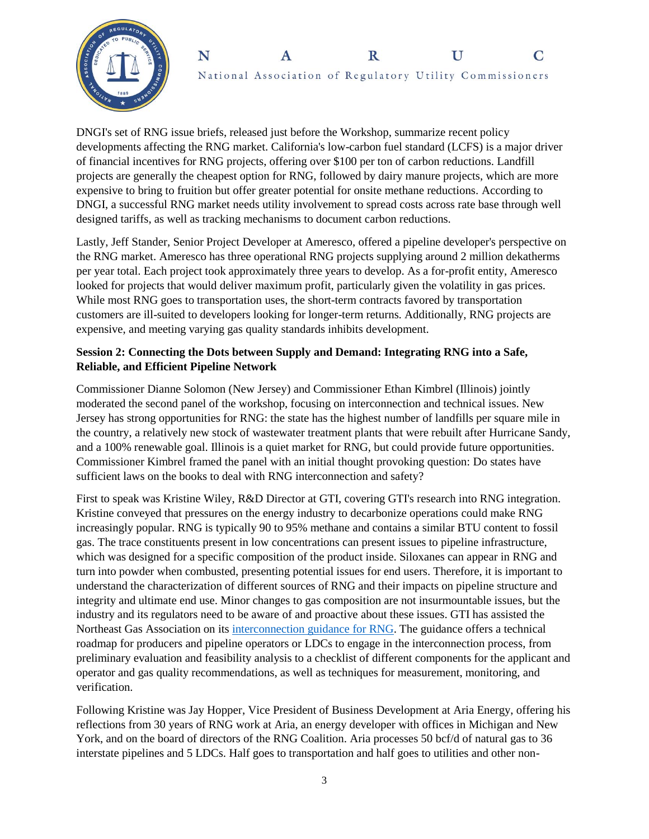



DNGI's set of RNG issue briefs, released just before the Workshop, summarize recent policy developments affecting the RNG market. California's low-carbon fuel standard (LCFS) is a major driver of financial incentives for RNG projects, offering over \$100 per ton of carbon reductions. Landfill projects are generally the cheapest option for RNG, followed by dairy manure projects, which are more expensive to bring to fruition but offer greater potential for onsite methane reductions. According to DNGI, a successful RNG market needs utility involvement to spread costs across rate base through well designed tariffs, as well as tracking mechanisms to document carbon reductions.

Lastly, Jeff Stander, Senior Project Developer at Ameresco, offered a pipeline developer's perspective on the RNG market. Ameresco has three operational RNG projects supplying around 2 million dekatherms per year total. Each project took approximately three years to develop. As a for-profit entity, Ameresco looked for projects that would deliver maximum profit, particularly given the volatility in gas prices. While most RNG goes to transportation uses, the short-term contracts favored by transportation customers are ill-suited to developers looking for longer-term returns. Additionally, RNG projects are expensive, and meeting varying gas quality standards inhibits development.

## **Session 2: Connecting the Dots between Supply and Demand: Integrating RNG into a Safe, Reliable, and Efficient Pipeline Network**

Commissioner Dianne Solomon (New Jersey) and Commissioner Ethan Kimbrel (Illinois) jointly moderated the second panel of the workshop, focusing on interconnection and technical issues. New Jersey has strong opportunities for RNG: the state has the highest number of landfills per square mile in the country, a relatively new stock of wastewater treatment plants that were rebuilt after Hurricane Sandy, and a 100% renewable goal. Illinois is a quiet market for RNG, but could provide future opportunities. Commissioner Kimbrel framed the panel with an initial thought provoking question: Do states have sufficient laws on the books to deal with RNG interconnection and safety?

First to speak was Kristine Wiley, R&D Director at GTI, covering GTI's research into RNG integration. Kristine conveyed that pressures on the energy industry to decarbonize operations could make RNG increasingly popular. RNG is typically 90 to 95% methane and contains a similar BTU content to fossil gas. The trace constituents present in low concentrations can present issues to pipeline infrastructure, which was designed for a specific composition of the product inside. Siloxanes can appear in RNG and turn into powder when combusted, presenting potential issues for end users. Therefore, it is important to understand the characterization of different sources of RNG and their impacts on pipeline structure and integrity and ultimate end use. Minor changes to gas composition are not insurmountable issues, but the industry and its regulators need to be aware of and proactive about these issues. GTI has assisted the Northeast Gas Association on its [interconnection guidance](https://www.northeastgas.org/pdf/nga_gti_interconnect_0919.pdf) for RNG. The guidance offers a technical roadmap for producers and pipeline operators or LDCs to engage in the interconnection process, from preliminary evaluation and feasibility analysis to a checklist of different components for the applicant and operator and gas quality recommendations, as well as techniques for measurement, monitoring, and verification.

Following Kristine was Jay Hopper, Vice President of Business Development at Aria Energy, offering his reflections from 30 years of RNG work at Aria, an energy developer with offices in Michigan and New York, and on the board of directors of the RNG Coalition. Aria processes 50 bcf/d of natural gas to 36 interstate pipelines and 5 LDCs. Half goes to transportation and half goes to utilities and other non-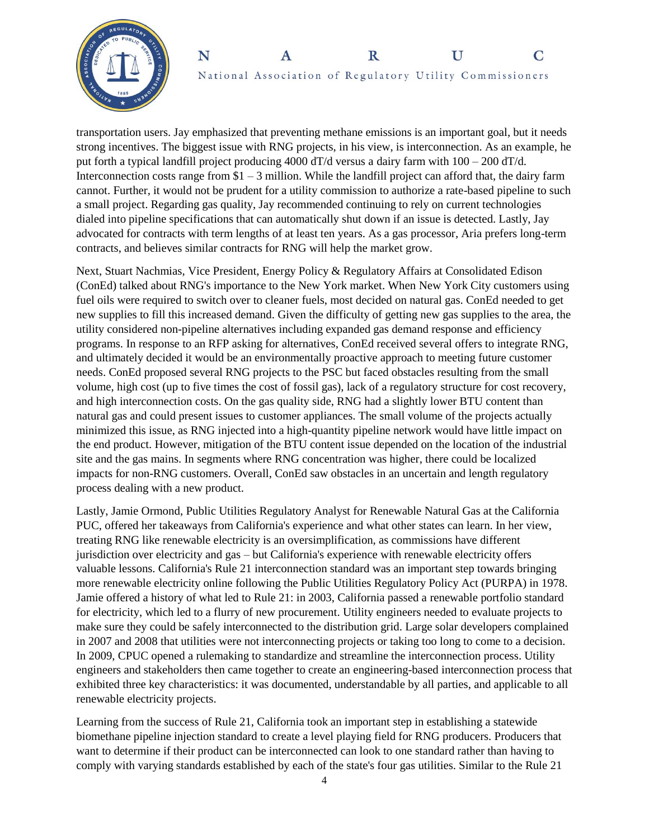



transportation users. Jay emphasized that preventing methane emissions is an important goal, but it needs strong incentives. The biggest issue with RNG projects, in his view, is interconnection. As an example, he put forth a typical landfill project producing 4000 dT/d versus a dairy farm with 100 – 200 dT/d. Interconnection costs range from  $$1 - 3$  million. While the landfill project can afford that, the dairy farm cannot. Further, it would not be prudent for a utility commission to authorize a rate-based pipeline to such a small project. Regarding gas quality, Jay recommended continuing to rely on current technologies dialed into pipeline specifications that can automatically shut down if an issue is detected. Lastly, Jay advocated for contracts with term lengths of at least ten years. As a gas processor, Aria prefers long-term contracts, and believes similar contracts for RNG will help the market grow.

Next, Stuart Nachmias, Vice President, Energy Policy & Regulatory Affairs at Consolidated Edison (ConEd) talked about RNG's importance to the New York market. When New York City customers using fuel oils were required to switch over to cleaner fuels, most decided on natural gas. ConEd needed to get new supplies to fill this increased demand. Given the difficulty of getting new gas supplies to the area, the utility considered non-pipeline alternatives including expanded gas demand response and efficiency programs. In response to an RFP asking for alternatives, ConEd received several offers to integrate RNG, and ultimately decided it would be an environmentally proactive approach to meeting future customer needs. ConEd proposed several RNG projects to the PSC but faced obstacles resulting from the small volume, high cost (up to five times the cost of fossil gas), lack of a regulatory structure for cost recovery, and high interconnection costs. On the gas quality side, RNG had a slightly lower BTU content than natural gas and could present issues to customer appliances. The small volume of the projects actually minimized this issue, as RNG injected into a high-quantity pipeline network would have little impact on the end product. However, mitigation of the BTU content issue depended on the location of the industrial site and the gas mains. In segments where RNG concentration was higher, there could be localized impacts for non-RNG customers. Overall, ConEd saw obstacles in an uncertain and length regulatory process dealing with a new product.

Lastly, Jamie Ormond, Public Utilities Regulatory Analyst for Renewable Natural Gas at the California PUC, offered her takeaways from California's experience and what other states can learn. In her view, treating RNG like renewable electricity is an oversimplification, as commissions have different jurisdiction over electricity and gas – but California's experience with renewable electricity offers valuable lessons. California's Rule 21 interconnection standard was an important step towards bringing more renewable electricity online following the Public Utilities Regulatory Policy Act (PURPA) in 1978. Jamie offered a history of what led to Rule 21: in 2003, California passed a renewable portfolio standard for electricity, which led to a flurry of new procurement. Utility engineers needed to evaluate projects to make sure they could be safely interconnected to the distribution grid. Large solar developers complained in 2007 and 2008 that utilities were not interconnecting projects or taking too long to come to a decision. In 2009, CPUC opened a rulemaking to standardize and streamline the interconnection process. Utility engineers and stakeholders then came together to create an engineering-based interconnection process that exhibited three key characteristics: it was documented, understandable by all parties, and applicable to all renewable electricity projects.

Learning from the success of Rule 21, California took an important step in establishing a statewide biomethane pipeline injection standard to create a level playing field for RNG producers. Producers that want to determine if their product can be interconnected can look to one standard rather than having to comply with varying standards established by each of the state's four gas utilities. Similar to the Rule 21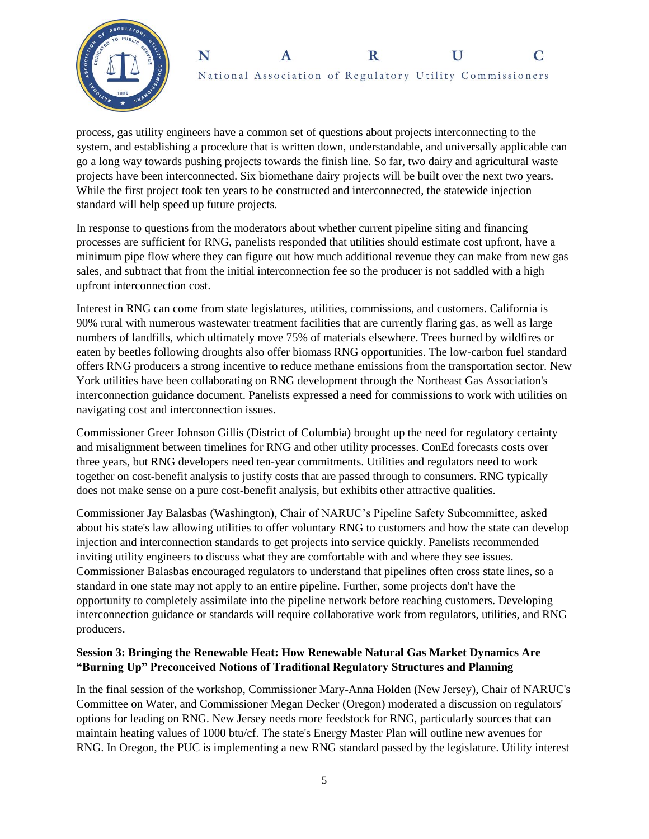



process, gas utility engineers have a common set of questions about projects interconnecting to the system, and establishing a procedure that is written down, understandable, and universally applicable can go a long way towards pushing projects towards the finish line. So far, two dairy and agricultural waste projects have been interconnected. Six biomethane dairy projects will be built over the next two years. While the first project took ten years to be constructed and interconnected, the statewide injection standard will help speed up future projects.

In response to questions from the moderators about whether current pipeline siting and financing processes are sufficient for RNG, panelists responded that utilities should estimate cost upfront, have a minimum pipe flow where they can figure out how much additional revenue they can make from new gas sales, and subtract that from the initial interconnection fee so the producer is not saddled with a high upfront interconnection cost.

Interest in RNG can come from state legislatures, utilities, commissions, and customers. California is 90% rural with numerous wastewater treatment facilities that are currently flaring gas, as well as large numbers of landfills, which ultimately move 75% of materials elsewhere. Trees burned by wildfires or eaten by beetles following droughts also offer biomass RNG opportunities. The low-carbon fuel standard offers RNG producers a strong incentive to reduce methane emissions from the transportation sector. New York utilities have been collaborating on RNG development through the Northeast Gas Association's interconnection guidance document. Panelists expressed a need for commissions to work with utilities on navigating cost and interconnection issues.

Commissioner Greer Johnson Gillis (District of Columbia) brought up the need for regulatory certainty and misalignment between timelines for RNG and other utility processes. ConEd forecasts costs over three years, but RNG developers need ten-year commitments. Utilities and regulators need to work together on cost-benefit analysis to justify costs that are passed through to consumers. RNG typically does not make sense on a pure cost-benefit analysis, but exhibits other attractive qualities.

Commissioner Jay Balasbas (Washington), Chair of NARUC's Pipeline Safety Subcommittee, asked about his state's law allowing utilities to offer voluntary RNG to customers and how the state can develop injection and interconnection standards to get projects into service quickly. Panelists recommended inviting utility engineers to discuss what they are comfortable with and where they see issues. Commissioner Balasbas encouraged regulators to understand that pipelines often cross state lines, so a standard in one state may not apply to an entire pipeline. Further, some projects don't have the opportunity to completely assimilate into the pipeline network before reaching customers. Developing interconnection guidance or standards will require collaborative work from regulators, utilities, and RNG producers.

### **Session 3: Bringing the Renewable Heat: How Renewable Natural Gas Market Dynamics Are "Burning Up" Preconceived Notions of Traditional Regulatory Structures and Planning**

In the final session of the workshop, Commissioner Mary-Anna Holden (New Jersey), Chair of NARUC's Committee on Water, and Commissioner Megan Decker (Oregon) moderated a discussion on regulators' options for leading on RNG. New Jersey needs more feedstock for RNG, particularly sources that can maintain heating values of 1000 btu/cf. The state's Energy Master Plan will outline new avenues for RNG. In Oregon, the PUC is implementing a new RNG standard passed by the legislature. Utility interest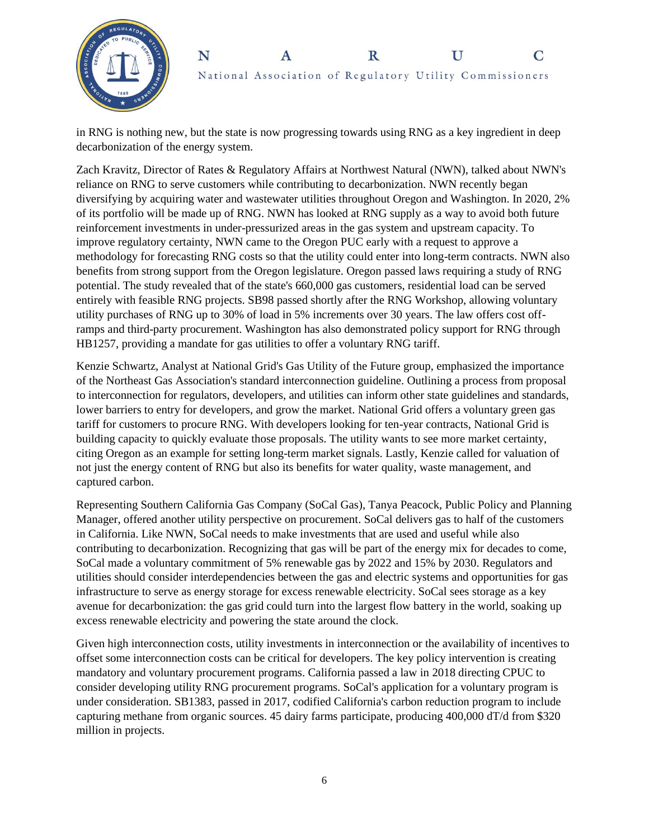



in RNG is nothing new, but the state is now progressing towards using RNG as a key ingredient in deep decarbonization of the energy system.

Zach Kravitz, Director of Rates & Regulatory Affairs at Northwest Natural (NWN), talked about NWN's reliance on RNG to serve customers while contributing to decarbonization. NWN recently began diversifying by acquiring water and wastewater utilities throughout Oregon and Washington. In 2020, 2% of its portfolio will be made up of RNG. NWN has looked at RNG supply as a way to avoid both future reinforcement investments in under-pressurized areas in the gas system and upstream capacity. To improve regulatory certainty, NWN came to the Oregon PUC early with a request to approve a methodology for forecasting RNG costs so that the utility could enter into long-term contracts. NWN also benefits from strong support from the Oregon legislature. Oregon passed laws requiring a study of RNG potential. The study revealed that of the state's 660,000 gas customers, residential load can be served entirely with feasible RNG projects. SB98 passed shortly after the RNG Workshop, allowing voluntary utility purchases of RNG up to 30% of load in 5% increments over 30 years. The law offers cost offramps and third-party procurement. Washington has also demonstrated policy support for RNG through HB1257, providing a mandate for gas utilities to offer a voluntary RNG tariff.

Kenzie Schwartz, Analyst at National Grid's Gas Utility of the Future group, emphasized the importance of the Northeast Gas Association's standard interconnection guideline. Outlining a process from proposal to interconnection for regulators, developers, and utilities can inform other state guidelines and standards, lower barriers to entry for developers, and grow the market. National Grid offers a voluntary green gas tariff for customers to procure RNG. With developers looking for ten-year contracts, National Grid is building capacity to quickly evaluate those proposals. The utility wants to see more market certainty, citing Oregon as an example for setting long-term market signals. Lastly, Kenzie called for valuation of not just the energy content of RNG but also its benefits for water quality, waste management, and captured carbon.

Representing Southern California Gas Company (SoCal Gas), Tanya Peacock, Public Policy and Planning Manager, offered another utility perspective on procurement. SoCal delivers gas to half of the customers in California. Like NWN, SoCal needs to make investments that are used and useful while also contributing to decarbonization. Recognizing that gas will be part of the energy mix for decades to come, SoCal made a voluntary commitment of 5% renewable gas by 2022 and 15% by 2030. Regulators and utilities should consider interdependencies between the gas and electric systems and opportunities for gas infrastructure to serve as energy storage for excess renewable electricity. SoCal sees storage as a key avenue for decarbonization: the gas grid could turn into the largest flow battery in the world, soaking up excess renewable electricity and powering the state around the clock.

Given high interconnection costs, utility investments in interconnection or the availability of incentives to offset some interconnection costs can be critical for developers. The key policy intervention is creating mandatory and voluntary procurement programs. California passed a law in 2018 directing CPUC to consider developing utility RNG procurement programs. SoCal's application for a voluntary program is under consideration. SB1383, passed in 2017, codified California's carbon reduction program to include capturing methane from organic sources. 45 dairy farms participate, producing 400,000 dT/d from \$320 million in projects.